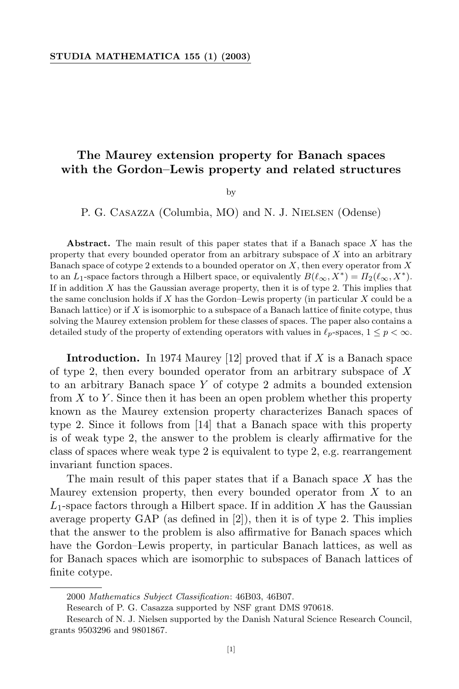## **STUDIA MATHEMATICA 155 (1) (2003)**

## **The Maurey extension property for Banach spaces with the Gordon–Lewis property and related structures**

by

P. G. CASAZZA (Columbia, MO) and N. J. NIELSEN (Odense)

**Abstract.** The main result of this paper states that if a Banach space *X* has the property that every bounded operator from an arbitrary subspace of *X* into an arbitrary Banach space of cotype 2 extends to a bounded operator on *X*, then every operator from *X* to an *L*<sub>1</sub>-space factors through a Hilbert space, or equivalently  $B(\ell_{\infty}, X^*) = \Pi_2(\ell_{\infty}, X^*)$ . If in addition *X* has the Gaussian average property, then it is of type 2. This implies that the same conclusion holds if *X* has the Gordon–Lewis property (in particular *X* could be a Banach lattice) or if *X* is isomorphic to a subspace of a Banach lattice of finite cotype, thus solving the Maurey extension problem for these classes of spaces. The paper also contains a detailed study of the property of extending operators with values in  $\ell_p$ -spaces,  $1 \leq p < \infty$ .

**Introduction.** In 1974 Maurey [12] proved that if *X* is a Banach space of type 2, then every bounded operator from an arbitrary subspace of *X* to an arbitrary Banach space *Y* of cotype 2 admits a bounded extension from *X* to *Y* . Since then it has been an open problem whether this property known as the Maurey extension property characterizes Banach spaces of type 2. Since it follows from [14] that a Banach space with this property is of weak type 2, the answer to the problem is clearly affirmative for the class of spaces where weak type 2 is equivalent to type 2, e.g. rearrangement invariant function spaces.

The main result of this paper states that if a Banach space *X* has the Maurey extension property, then every bounded operator from *X* to an *L*1-space factors through a Hilbert space. If in addition *X* has the Gaussian average property GAP (as defined in [2]), then it is of type 2. This implies that the answer to the problem is also affirmative for Banach spaces which have the Gordon–Lewis property, in particular Banach lattices, as well as for Banach spaces which are isomorphic to subspaces of Banach lattices of finite cotype.

<sup>2000</sup> *Mathematics Subject Classification*: 46B03, 46B07.

Research of P. G. Casazza supported by NSF grant DMS 970618.

Research of N. J. Nielsen supported by the Danish Natural Science Research Council, grants 9503296 and 9801867.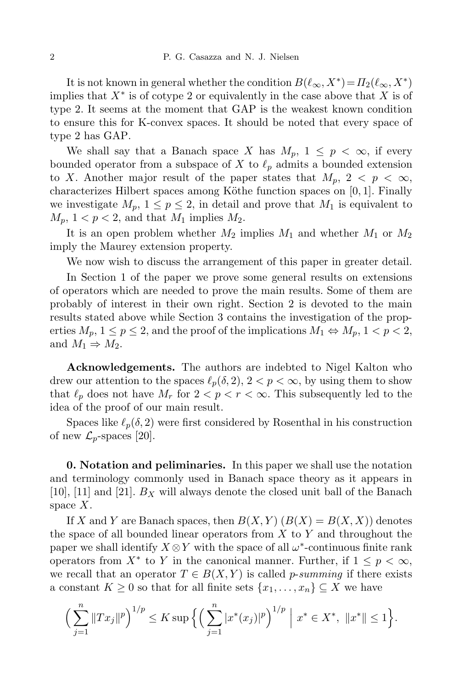It is not known in general whether the condition  $B(\ell_{\infty}, X^*) = \Pi_2(\ell_{\infty}, X^*)$ implies that *X∗* is of cotype 2 or equivalently in the case above that *X* is of type 2. It seems at the moment that GAP is the weakest known condition to ensure this for K-convex spaces. It should be noted that every space of type 2 has GAP.

We shall say that a Banach space *X* has  $M_p$ ,  $1 \leq p < \infty$ , if every bounded operator from a subspace of *X* to  $\ell_p$  admits a bounded extension to *X*. Another major result of the paper states that  $M_p$ ,  $2 < p < \infty$ , characterizes Hilbert spaces among Köthe function spaces on [0, 1]. Finally we investigate  $M_p$ ,  $1 \leq p \leq 2$ , in detail and prove that  $M_1$  is equivalent to  $M_p$ ,  $1 < p < 2$ , and that  $M_1$  implies  $M_2$ .

It is an open problem whether  $M_2$  implies  $M_1$  and whether  $M_1$  or  $M_2$ imply the Maurey extension property.

We now wish to discuss the arrangement of this paper in greater detail.

In Section 1 of the paper we prove some general results on extensions of operators which are needed to prove the main results. Some of them are probably of interest in their own right. Section 2 is devoted to the main results stated above while Section 3 contains the investigation of the properties  $M_p$ ,  $1 \leq p \leq 2$ , and the proof of the implications  $M_1 \Leftrightarrow M_p$ ,  $1 < p < 2$ , and  $M_1 \Rightarrow M_2$ .

**Acknowledgements.** The authors are indebted to Nigel Kalton who drew our attention to the spaces  $\ell_p(\delta, 2)$ ,  $2 < p < \infty$ , by using them to show that  $\ell_p$  does not have  $M_r$  for  $2 < p < r < \infty$ . This subsequently led to the idea of the proof of our main result.

Spaces like  $\ell_p(\delta, 2)$  were first considered by Rosenthal in his construction of new  $\mathcal{L}_p$ -spaces [20].

**0. Notation and peliminaries.** In this paper we shall use the notation and terminology commonly used in Banach space theory as it appears in [10], [11] and [21]. *B<sup>X</sup>* will always denote the closed unit ball of the Banach space *X*.

If *X* and *Y* are Banach spaces, then  $B(X, Y)$   $(B(X) = B(X, X))$  denotes the space of all bounded linear operators from *X* to *Y* and throughout the paper we shall identify  $X \otimes Y$  with the space of all  $\omega^*$ -continuous finite rank operators from  $X^*$  to  $Y$  in the canonical manner. Further, if  $1 \leq p < \infty$ , we recall that an operator  $T \in B(X, Y)$  is called *p*-*summing* if there exists a constant  $K \geq 0$  so that for all finite sets  $\{x_1, \ldots, x_n\} \subseteq X$  we have

$$
\Big(\sum_{j=1}^n||Tx_j||^p\Big)^{1/p}\leq K\sup\Big\{\Big(\sum_{j=1}^n|x^*(x_j)|^p\Big)^{1/p}\;\Big|\;x^*\in X^*,\; \|x^*\|\leq 1\Big\}.
$$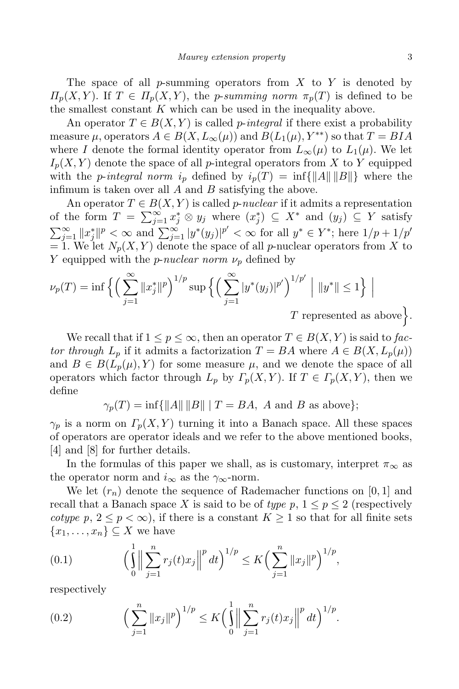The space of all *p*-summing operators from *X* to *Y* is denoted by  $\Pi_p(X, Y)$ . If  $T \in \Pi_p(X, Y)$ , the *p*-*summing norm*  $\pi_p(T)$  is defined to be the smallest constant *K* which can be used in the inequality above.

An operator  $T \in B(X, Y)$  is called *p*-*integral* if there exist a probability measure  $\mu$ , operators  $A \in B(X, L_\infty(\mu))$  and  $B(L_1(\mu), Y^{**})$  so that  $T = BIA$ where *I* denote the formal identity operator from  $L_{\infty}(\mu)$  to  $L_1(\mu)$ . We let  $I_p(X, Y)$  denote the space of all *p*-integral operators from *X* to *Y* equipped with the *p*-*integral* norm  $i_p$  defined by  $i_p(T) = \inf \{ ||A|| ||B|| \}$  where the infimum is taken over all *A* and *B* satisfying the above.

An operator  $T \in B(X, Y)$  is called *p*-*nuclear* if it admits a representation of the form  $T = \sum_{j=1}^{\infty} x_j^* \otimes y_j$  where  $(x_j^*) \subseteq X^*$  and  $(y_j) \subseteq Y$  satisfy  $\sum_{j=1}^{\infty} ||x_j^*||^p < \infty$  and  $\sum_{j=1}^{\infty} |y^*(y_j)|^{p'} < \infty$  for all  $y^* \in Y^*$ ; here  $1/p + 1/p'$  $= 1$ . We let  $N_p(X, Y)$  denote the space of all *p*-nuclear operators from X to *Y* equipped with the *p*-*nuclear norm ν<sup>p</sup>* defined by

$$
\nu_p(T) = \inf \left\{ \Big( \sum_{j=1}^{\infty} \|x_j^*\|^p \Big)^{1/p} \sup \left\{ \Big( \sum_{j=1}^{\infty} |y^*(y_j)|^{p'} \Big)^{1/p'} \; \Big| \; \|y^*\| \le 1 \right\} \; \Big|
$$
  
*T* represented as also

*T* represented as above.

We recall that if  $1 \leq p \leq \infty$ , then an operator  $T \in B(X, Y)$  is said to fac*tor through*  $L_p$  if it admits a factorization  $T = BA$  where  $A \in B(X, L_p(\mu))$ and  $B \in B(L_p(\mu), Y)$  for some measure  $\mu$ , and we denote the space of all operators which factor through  $L_p$  by  $\Gamma_p(X, Y)$ . If  $T \in \Gamma_p(X, Y)$ , then we define

$$
\gamma_p(T) = \inf \{ \|A\| \|B\| \mid T = BA, \ A \text{ and } B \text{ as above} \};
$$

 $\gamma_p$  is a norm on  $\Gamma_p(X, Y)$  turning it into a Banach space. All these spaces of operators are operator ideals and we refer to the above mentioned books, [4] and [8] for further details.

In the formulas of this paper we shall, as is customary, interpret  $\pi_{\infty}$  as the operator norm and  $i_{\infty}$  as the  $\gamma_{\infty}$ -norm.

We let  $(r_n)$  denote the sequence of Rademacher functions on [0, 1] and recall that a Banach space X is said to be of *type*  $p$ ,  $1 \leq p \leq 2$  (respectively *cotype*  $p, 2 \leq p < \infty$ , if there is a constant  $K \geq 1$  so that for all finite sets  ${x_1, \ldots, x_n} \subseteq X$  we have

(0.1) 
$$
\left(\int_{0}^{1} \left\|\sum_{j=1}^{n} r_j(t)x_j\right\|^p dt\right)^{1/p} \leq K \left(\sum_{j=1}^{n} \|x_j\|^p\right)^{1/p},
$$

respectively

(0.2) 
$$
\left(\sum_{j=1}^n \|x_j\|^p\right)^{1/p} \leq K \left(\int_0^1 \left\|\sum_{j=1}^n r_j(t)x_j\right\|^p dt\right)^{1/p}.
$$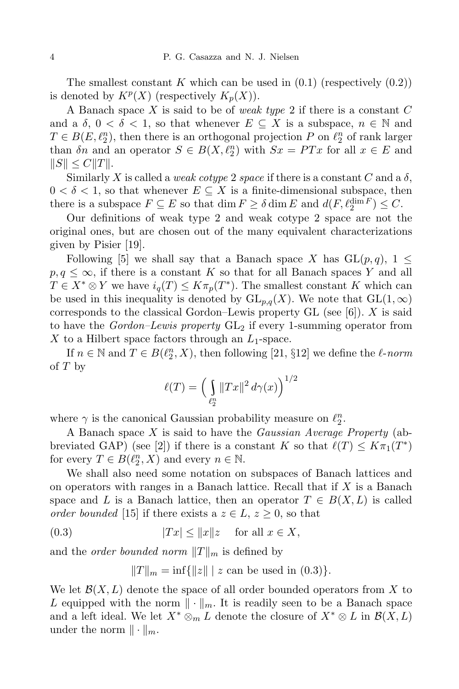The smallest constant  $K$  which can be used in  $(0.1)$  (respectively  $(0.2)$ ) is denoted by  $K^p(X)$  (respectively  $K_p(X)$ ).

A Banach space *X* is said to be of *weak type* 2 if there is a constant *C* and a  $\delta$ ,  $0 < \delta < 1$ , so that whenever  $E \subseteq X$  is a subspace,  $n \in \mathbb{N}$  and  $T \in B(E, \ell_2^n)$ , then there is an orthogonal projection *P* on  $\ell_2^n$  of rank larger than  $\delta n$  and an operator  $S \in B(X, \ell_2^n)$  with  $Sx = PTx$  for all  $x \in E$  and  $||S|| \leq C ||T||.$ 

Similarly X is called a *weak cotype* 2 *space* if there is a constant C and a  $\delta$ ,  $0 < \delta < 1$ , so that whenever  $E \subseteq X$  is a finite-dimensional subspace, then there is a subspace  $F \subseteq E$  so that  $\dim F \geq \delta \dim E$  and  $d(F, \ell_2^{\dim F}) \leq C$ .

Our definitions of weak type 2 and weak cotype 2 space are not the original ones, but are chosen out of the many equivalent characterizations given by Pisier [19].

Following [5] we shall say that a Banach space *X* has  $GL(p,q)$ ,  $1 \leq$  $p, q \leq \infty$ , if there is a constant *K* so that for all Banach spaces *Y* and all  $T \in X^* \otimes Y$  we have  $i_q(T) \leq K \pi_p(T^*)$ . The smallest constant *K* which can be used in this inequality is denoted by  $GL_{p,q}(X)$ . We note that  $GL(1,\infty)$ corresponds to the classical Gordon–Lewis property GL (see [6]). *X* is said to have the *Gordon–Lewis property* GL<sup>2</sup> if every 1-summing operator from *X* to a Hilbert space factors through an *L*1-space.

If  $n \in \mathbb{N}$  and  $T \in B(\ell_2^n, X)$ , then following [21, §12] we define the  $\ell$ -*norm* of *T* by

$$
\ell(T) = \left(\int_{\ell_2^n} \|Tx\|^2 \, d\gamma(x)\right)^{1/2}
$$

where  $\gamma$  is the canonical Gaussian probability measure on  $\ell_2^n$ .

A Banach space *X* is said to have the *Gaussian Average Property* (abbreviated GAP) (see [2]) if there is a constant *K* so that  $\ell(T) \leq K \pi_1(T^*)$ for every  $T \in B(\ell_2^n, X)$  and every  $n \in \mathbb{N}$ .

We shall also need some notation on subspaces of Banach lattices and on operators with ranges in a Banach lattice. Recall that if *X* is a Banach space and *L* is a Banach lattice, then an operator  $T \in B(X, L)$  is called *order bounded* [15] if there exists a  $z \in L$ ,  $z \geq 0$ , so that

(0.3) 
$$
|Tx| \le ||x||z \quad \text{ for all } x \in X,
$$

and the *order bounded norm*  $||T||_m$  is defined by

 $||T||_m = \inf{||z|| \mid z \text{ can be used in (0.3)}}.$ 

We let *B*(*X,L*) denote the space of all order bounded operators from *X* to *L* equipped with the norm  $\|\cdot\|_m$ . It is readily seen to be a Banach space and a left ideal. We let  $X^* \otimes_m L$  denote the closure of  $X^* \otimes L$  in  $\mathcal{B}(X,L)$ under the norm  $\|\cdot\|_m$ .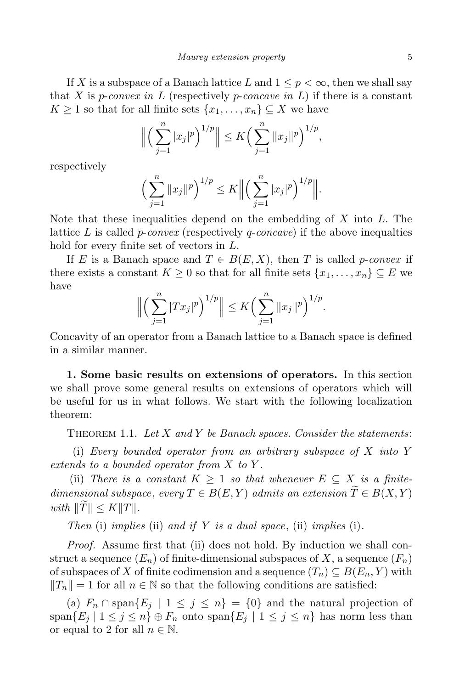If X is a subspace of a Banach lattice L and  $1 \leq p \leq \infty$ , then we shall say that *X* is *p*-*convex* in *L* (respectively *p*-*concave* in *L*) if there is a constant  $K \geq 1$  so that for all finite sets  $\{x_1, \ldots, x_n\} \subseteq X$  we have

$$
\left\| \left( \sum_{j=1}^n |x_j|^p \right)^{1/p} \right\| \le K \left( \sum_{j=1}^n \|x_j\|^p \right)^{1/p},
$$

respectively

$$
\left(\sum_{j=1}^n \|x_j\|^p\right)^{1/p} \le K \left\| \left(\sum_{j=1}^n |x_j|^p\right)^{1/p} \right\|.
$$

Note that these inequalities depend on the embedding of *X* into *L*. The lattice *L* is called *p*-*convex* (respectively *q*-*concave*) if the above inequalties hold for every finite set of vectors in *L*.

If *E* is a Banach space and  $T \in B(E, X)$ , then *T* is called *p*-*convex* if there exists a constant  $K \geq 0$  so that for all finite sets  $\{x_1, \ldots, x_n\} \subseteq E$  we have

$$
\Big\| \Big( \sum_{j=1}^n |Tx_j|^p \Big)^{1/p} \Big\| \le K \Big( \sum_{j=1}^n \|x_j\|^p \Big)^{1/p}.
$$

Concavity of an operator from a Banach lattice to a Banach space is defined in a similar manner.

**1. Some basic results on extensions of operators.** In this section we shall prove some general results on extensions of operators which will be useful for us in what follows. We start with the following localization theorem:

Theorem 1.1. *Let X and Y be Banach spaces. Consider the statements*:

(i) *Every bounded operator from an arbitrary subspace of X into Y extends to a bounded operator from X to Y .*

(ii) *There is* a constant  $K \geq 1$  *so that whenever*  $E \subseteq X$  *is* a finite*dimensional subspace, every*  $T \in B(E, Y)$  *admits an extension*  $\widetilde{T} \in B(X, Y)$  $with$   $\|\widetilde{T}\| \leq K\|T\|.$ 

*Then* (i) *implies* (ii) *and if Y is a dual space*, (ii) *implies* (i)*.*

*Proof.* Assume first that (ii) does not hold. By induction we shall construct a sequence  $(E_n)$  of finite-dimensional subspaces of X, a sequence  $(F_n)$ of subspaces of *X* of finite codimension and a sequence  $(T_n) \subseteq B(E_n, Y)$  with  $||T_n|| = 1$  for all  $n \in \mathbb{N}$  so that the following conditions are satisfied:

(a)  $F_n$  ∩ span ${E_j \mid 1 \leq j \leq n}$  =  ${0}$  and the natural projection of span ${E_j | 1 \leq j \leq n} \oplus F_n$  onto span ${E_j | 1 \leq j \leq n}$  has norm less than or equal to 2 for all  $n \in \mathbb{N}$ .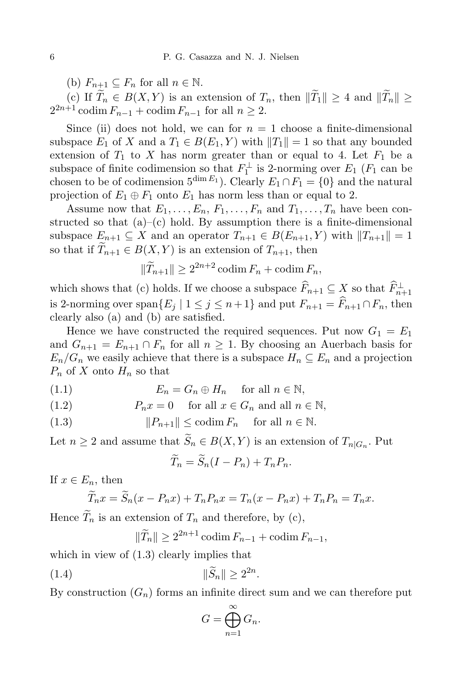(b)  $F_{n+1} \subseteq F_n$  for all  $n \in \mathbb{N}$ .

(c) If  $\widetilde{T}_n \in B(X, Y)$  is an extension of  $T_n$ , then  $\|\widetilde{T}_1\| \geq 4$  and  $\|\widetilde{T}_n\| \geq$  $2^{2n+1}$  codim  $F_{n-1}$  + codim  $F_{n-1}$  for all  $n \ge 2$ .

Since (ii) does not hold, we can for  $n = 1$  choose a finite-dimensional subspace  $E_1$  of *X* and a  $T_1 \in B(E_1, Y)$  with  $||T_1|| = 1$  so that any bounded extension of  $T_1$  to  $X$  has norm greater than or equal to 4. Let  $F_1$  be a subspace of finite codimension so that  $F_1^{\perp}$  is 2-norming over  $E_1$  ( $F_1$  can be chosen to be of codimension  $5^{\dim E_1}$ ). Clearly  $E_1 \cap F_1 = \{0\}$  and the natural projection of  $E_1 \oplus F_1$  onto  $E_1$  has norm less than or equal to 2.

Assume now that  $E_1, \ldots, E_n, F_1, \ldots, F_n$  and  $T_1, \ldots, T_n$  have been constructed so that  $(a)$ – $(c)$  hold. By assumption there is a finite-dimensional subspace  $E_{n+1} \subseteq X$  and an operator  $T_{n+1} \in B(E_{n+1}, Y)$  with  $||T_{n+1}|| = 1$ so that if  $T_{n+1} \in B(X, Y)$  is an extension of  $T_{n+1}$ , then

$$
\|\widetilde{T}_{n+1}\| \ge 2^{2n+2} \operatorname{codim} F_n + \operatorname{codim} F_n,
$$

which shows that (c) holds. If we choose a subspace  $F_{n+1} \subseteq X$  so that  $F_{n+1}^{\perp}$ is 2-norming over span ${E_j \mid 1 \le j \le n+1}$  and put  $F_{n+1} = \hat{F}_{n+1} \cap F_n$ , then clearly also (a) and (b) are satisfied.

Hence we have constructed the required sequences. Put now  $G_1 = E_1$ and  $G_{n+1} = E_{n+1} \cap F_n$  for all  $n \geq 1$ . By choosing an Auerbach basis for  $E_n/G_n$  we easily achieve that there is a subspace  $H_n \subseteq E_n$  and a projection  $P_n$  of X onto  $H_n$  so that

(1.1)  $E_n = G_n \oplus H_n$  for all  $n \in \mathbb{N}$ ,

(1.2) 
$$
P_n x = 0 \quad \text{for all } x \in G_n \text{ and all } n \in \mathbb{N},
$$

(1.3)  $||P_{n+1}|| \leq \text{codim } F_n \text{ for all } n \in \mathbb{N}.$ 

Let  $n \geq 2$  and assume that  $S_n \in B(X, Y)$  is an extension of  $T_{n|G_n}$ . Put

$$
\widetilde{T}_n = \widetilde{S}_n(I - P_n) + T_n P_n.
$$

If  $x \in E_n$ , then

$$
\widetilde{T}_n x = \widetilde{S}_n (x - P_n x) + T_n P_n x = T_n (x - P_n x) + T_n P_n = T_n x.
$$

Hence  $\widetilde{T}_n$  is an extension of  $T_n$  and therefore, by (c),

 $\|\widetilde{T}_n\| \ge 2^{2n+1} \operatorname{codim} F_{n-1} + \operatorname{codim} F_{n-1}$ 

which in view of  $(1.3)$  clearly implies that

(1.4)  $\|\widetilde{S}_n\| \ge 2^{2n}$ .

By construction  $(G_n)$  forms an infinite direct sum and we can therefore put

$$
G=\bigoplus_{n=1}^{\infty}G_n.
$$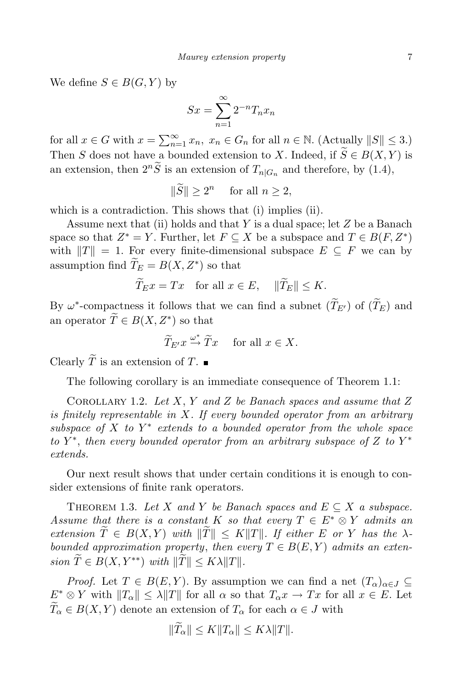We define  $S \in B(G, Y)$  by

$$
Sx = \sum_{n=1}^{\infty} 2^{-n} T_n x_n
$$

for all  $x \in G$  with  $x = \sum_{n=1}^{\infty} x_n$ ,  $x_n \in G_n$  for all  $n \in \mathbb{N}$ . (Actually  $||S|| \leq 3$ .) Then *S* does not have a bounded extension to *X*. Indeed, if  $\widetilde{S} \in B(X, Y)$  is an extension, then  $2^{n}\tilde{S}$  is an extension of  $T_{n|G_n}$  and therefore, by (1.4),

 $\|\widetilde{S}\| \ge 2^n$  for all  $n \ge 2$ ,

which is a contradiction. This shows that (i) implies (ii).

Assume next that (ii) holds and that *Y* is a dual space; let *Z* be a Banach space so that  $Z^* = Y$ . Further, let  $F \subseteq X$  be a subspace and  $T \in B(F, Z^*)$ with  $||T|| = 1$ . For every finite-dimensional subspace  $E \subseteq F$  we can by assumption find  $T_E = B(X, Z^*)$  so that

$$
\widetilde{T}_E x = Tx \quad \text{for all } x \in E, \quad \|\widetilde{T}_E\| \le K.
$$

By  $\omega^*$ -compactness it follows that we can find a subnet  $(T_{E'})$  of  $(T_E)$  and an operator  $T \in B(X, Z^*)$  so that

$$
\widetilde{T}_{E'}x \xrightarrow{\omega^*} \widetilde{T}x \quad \text{ for all } x \in X.
$$

Clearly  $\widetilde{T}$  is an extension of  $T$ .

The following corollary is an immediate consequence of Theorem 1.1:

Corollary 1.2. *Let X*, *Y and Z be Banach spaces and assume that Z is finitely representable in X. If every bounded operator from an arbitrary subspace of X to Y ∗ extends to a bounded operator from the whole space to Y ∗* , *then every bounded operator from an arbitrary subspace of Z to Y ∗ extends.*

Our next result shows that under certain conditions it is enough to consider extensions of finite rank operators.

THEOREM 1.3. Let *X* and *Y* be Banach spaces and  $E \subseteq X$  a subspace. *Assume* that there is a constant  $K$  so that every  $T \in E^* \otimes Y$  admits an extension  $\tilde{T} \in B(X,Y)$  with  $\|\tilde{T}\| \leq K\|T\|$ . If either E or Y has the  $\lambda$ *bounded approximation property*, *then every*  $T \in B(E, Y)$  *admits an extension*  $T \in B(X, Y^{**})$  *with*  $||T|| \leq K\lambda ||T||$ .

*Proof.* Let  $T \in B(E, Y)$ . By assumption we can find a net  $(T_\alpha)_{\alpha \in J} \subseteq$  $E^* \otimes Y$  with  $||T_\alpha|| \leq \lambda ||T||$  for all  $\alpha$  so that  $T_\alpha x \to Tx$  for all  $x \in E$ . Let  $\widetilde{T}_{\alpha} \in B(X, Y)$  denote an extension of  $T_{\alpha}$  for each  $\alpha \in J$  with

$$
||T_{\alpha}|| \leq K||T_{\alpha}|| \leq K\lambda ||T||.
$$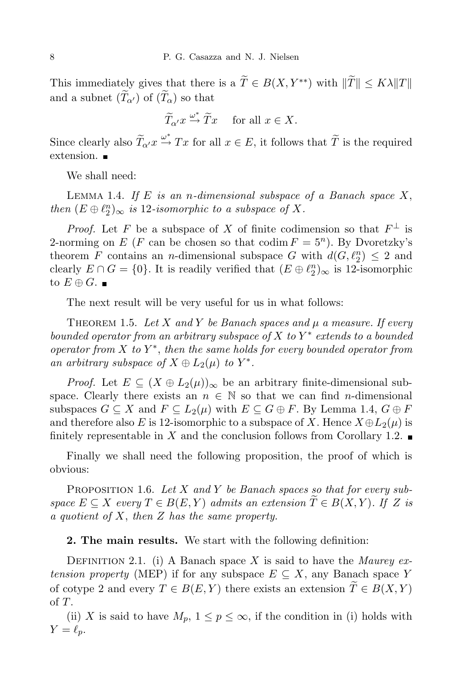This immediately gives that there is a  $T \in B(X, Y^{**})$  with  $||T|| \leq K\lambda ||T||$ and a subnet  $(T_{\alpha})$  of  $(T_{\alpha})$  so that

 $\widetilde{T}_{\alpha'}x \stackrel{\omega^*}{\rightarrow} \widetilde{T}x$  for all  $x \in X$ .

Since clearly also  $\widetilde{T}_{\alpha'}x \stackrel{\omega^*}{\rightarrow} Tx$  for all  $x \in E$ , it follows that  $\widetilde{T}$  is the required extension. ■

We shall need:

LEMMA 1.4. *If*  $E$  *is an n-dimensional subspace of a Banach space*  $X$ , *then*  $(E \oplus \ell_2^n)_{\infty}$  *is* 12*-isomorphic to a subspace of X.* 

*Proof.* Let *F* be a subspace of *X* of finite codimension so that  $F^{\perp}$  is 2-norming on  $E$  ( $F$  can be chosen so that codim  $F = 5<sup>n</sup>$ ). By Dvoretzky's theorem *F* contains an *n*-dimensional subspace *G* with  $d(G, \ell_2^n) \leq 2$  and clearly  $E \cap G = \{0\}$ . It is readily verified that  $(E \oplus \ell_2^n)_{\infty}$  is 12-isomorphic to  $E \oplus G$ .

The next result will be very useful for us in what follows:

THEOREM 1.5. Let  $X$  and  $Y$  be Banach spaces and  $\mu$  a measure. If every *bounded operator from an arbitrary subspace of X to Y ∗ extends to a bounded operator from X to Y ∗* , *then the same holds for every bounded operator from an arbitrary subspace of*  $X \oplus L_2(\mu)$  *to*  $Y^*$ *.* 

*Proof.* Let  $E \subseteq (X \oplus L_2(\mu))_{\infty}$  be an arbitrary finite-dimensional subspace. Clearly there exists an  $n \in \mathbb{N}$  so that we can find *n*-dimensional subspaces  $G \subseteq X$  and  $F \subseteq L_2(\mu)$  with  $E \subseteq G \oplus F$ . By Lemma 1.4,  $G \oplus F$ and therefore also *E* is 12-isomorphic to a subspace of *X*. Hence  $X \oplus L_2(\mu)$  is finitely representable in *X* and the conclusion follows from Corollary 1.2.  $\blacksquare$ 

Finally we shall need the following proposition, the proof of which is obvious:

Proposition 1.6. *Let X and Y be Banach spaces so that for every sub*space  $E \subseteq X$  every  $T \in B(E, Y)$  admits an extension  $\widetilde{T} \in B(X, Y)$ . If Z is *a quotient of X*, *then Z has the same property.*

**2. The main results.** We start with the following definition:

DEFINITION 2.1. (i) A Banach space X is said to have the *Maurey extension property* (MEP) if for any subspace  $E \subseteq X$ , any Banach space *Y* of cotype 2 and every  $T \in B(E, Y)$  there exists an extension  $\widetilde{T} \in B(X, Y)$ of *T*.

(ii) *X* is said to have  $M_p$ ,  $1 \leq p \leq \infty$ , if the condition in (i) holds with  $Y = \ell_p$ .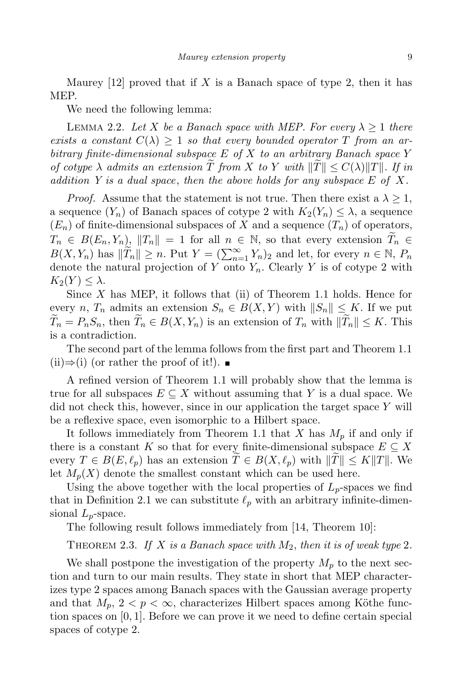Maurey  $[12]$  proved that if *X* is a Banach space of type 2, then it has MEP.

We need the following lemma:

LEMMA 2.2. Let *X* be a Banach space with MEP. For every  $\lambda \geq 1$  there *exists* a *constant*  $C(\lambda) \geq 1$  *so that every bounded operator T from an arbitrary finite-dimensional subspace E of X to an arbitrary Banach space Y* of cotype  $\lambda$  admits an extension T from X to Y with  $||T|| \leq C(\lambda) ||T||$ . If in *addition Y is a dual space*, *then the above holds for any subspace E of X.*

*Proof.* Assume that the statement is not true. Then there exist a  $\lambda \geq 1$ , a sequence  $(Y_n)$  of Banach spaces of cotype 2 with  $K_2(Y_n) \leq \lambda$ , a sequence  $(E_n)$  of finite-dimensional subspaces of X and a sequence  $(T_n)$  of operators,  $T_n \in B(E_n, Y_n)$ ,  $||T_n|| = 1$  for all  $n \in \mathbb{N}$ , so that every extension  $\widetilde{T}_n \in$  $B(X, Y_n)$  has  $\|\widetilde{T}_n\| \geq n$ . Put  $Y = (\sum_{n=1}^{\infty} Y_n)_2$  and let, for every  $n \in \mathbb{N}$ ,  $P_n$ denote the natural projection of  $Y$  onto  $Y_n$ . Clearly  $Y$  is of cotype 2 with  $K_2(Y) \leq \lambda$ .

Since *X* has MEP, it follows that (ii) of Theorem 1.1 holds. Hence for every *n*,  $T_n$  admits an extension  $S_n \in B(X, Y)$  with  $||S_n|| \leq K$ . If we put  $\widetilde{T}_n = P_n S_n$ , then  $\widetilde{T}_n \in B(X, Y_n)$  is an extension of  $T_n$  with  $\|\widetilde{T}_n\| \leq K$ . This is a contradiction.

The second part of the lemma follows from the first part and Theorem 1.1  $(ii) \Rightarrow (i)$  (or rather the proof of it!). ■

A refined version of Theorem 1.1 will probably show that the lemma is true for all subspaces  $E \subseteq X$  without assuming that Y is a dual space. We did not check this, however, since in our application the target space *Y* will be a reflexive space, even isomorphic to a Hilbert space.

It follows immediately from Theorem 1.1 that *X* has *M<sup>p</sup>* if and only if there is a constant *K* so that for every finite-dimensional subspace  $E \subseteq X$ every  $T \in B(E, \ell_p)$  has an extension  $T \in B(X, \ell_p)$  with  $||T|| \leq K||T||$ . We let  $M_p(X)$  denote the smallest constant which can be used here.

Using the above together with the local properties of  $L_p$ -spaces we find that in Definition 2.1 we can substitute  $\ell_p$  with an arbitrary infinite-dimensional *Lp*-space.

The following result follows immediately from [14, Theorem 10]:

THEOREM 2.3. If  $X$  is a Banach space with  $M_2$ , then it is of weak type 2.

We shall postpone the investigation of the property  $M_p$  to the next section and turn to our main results. They state in short that MEP characterizes type 2 spaces among Banach spaces with the Gaussian average property and that  $M_p$ ,  $2 < p < \infty$ , characterizes Hilbert spaces among Köthe function spaces on [0*,* 1]. Before we can prove it we need to define certain special spaces of cotype 2.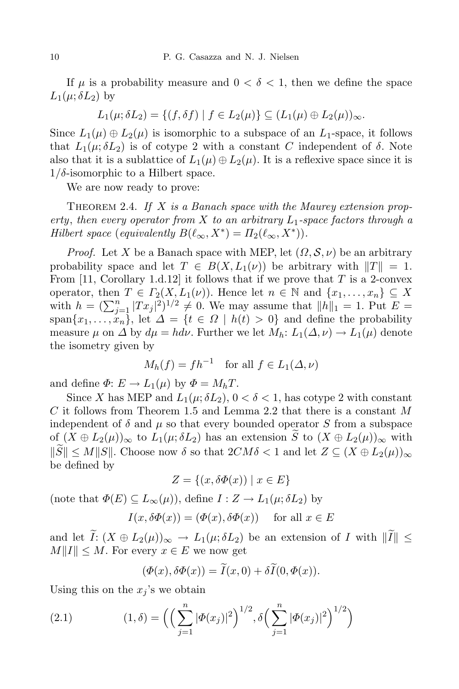If  $\mu$  is a probability measure and  $0 < \delta < 1$ , then we define the space  $L_1(\mu; \delta L_2)$  by

 $L_1(\mu; \delta L_2) = \{(f, \delta f) | f \in L_2(\mu)\} \subseteq (L_1(\mu) \oplus L_2(\mu))_{\infty}$ .

Since  $L_1(\mu) \oplus L_2(\mu)$  is isomorphic to a subspace of an  $L_1$ -space, it follows that  $L_1(\mu;\delta L_2)$  is of cotype 2 with a constant *C* independent of  $\delta$ . Note also that it is a sublattice of  $L_1(\mu) \oplus L_2(\mu)$ . It is a reflexive space since it is  $1/\delta$ -isomorphic to a Hilbert space.

We are now ready to prove:

THEOREM 2.4. If X is a Banach space with the Maurey extension prop*erty*, *then every operator from X to an arbitrary L*1*-space factors through a Hilbert space* (*equivalently*  $B(\ell_{\infty}, X^*) = \Pi_2(\ell_{\infty}, X^*)$ ).

*Proof.* Let *X* be a Banach space with MEP, let  $(\Omega, \mathcal{S}, \nu)$  be an arbitrary probability space and let  $T \in B(X, L_1(\nu))$  be arbitrary with  $||T|| = 1$ . From [11, Corollary 1.d.12] it follows that if we prove that *T* is a 2-convex operator, then  $T \in \Gamma_2(X, L_1(\nu))$ . Hence let  $n \in \mathbb{N}$  and  $\{x_1, \ldots, x_n\} \subseteq X$ with  $h = (\sum_{j=1}^{n} |Tx_j|^2)^{1/2} \neq 0$ . We may assume that  $||h||_1 = 1$ . Put  $E =$ span $\{x_1, \ldots, x_n\}$ , let  $\Delta = \{t \in \Omega \mid h(t) > 0\}$  and define the probability measure  $\mu$  on  $\Delta$  by  $d\mu = h d\nu$ . Further we let  $M_h: L_1(\Delta, \nu) \to L_1(\mu)$  denote the isometry given by

$$
M_h(f) = f h^{-1} \quad \text{for all } f \in L_1(\Delta, \nu)
$$

and define  $\Phi: E \to L_1(\mu)$  by  $\Phi = M_h T$ .

Since *X* has MEP and  $L_1(\mu; \delta L_2)$ ,  $0 < \delta < 1$ , has cotype 2 with constant *C* it follows from Theorem 1.5 and Lemma 2.2 that there is a constant *M* independent of  $\delta$  and  $\mu$  so that every bounded operator *S* from a subspace of  $(X \oplus L_2(\mu))_{\infty}$  to  $L_1(\mu; \delta L_2)$  has an extension  $\widetilde{S}$  to  $(X \oplus L_2(\mu))_{\infty}$  with  $\|\widetilde{S}\| \leq M \|S\|$ . Choose now  $\delta$  so that  $2CM\delta < 1$  and let  $Z \subseteq (X \oplus L_2(\mu))_{\infty}$ be defined by

$$
Z = \{(x, \delta \Phi(x)) \mid x \in E\}
$$

(note that  $\Phi(E) \subseteq L_{\infty}(\mu)$ ), define  $I : Z \to L_1(\mu; \delta L_2)$  by

$$
I(x, \delta \Phi(x)) = (\Phi(x), \delta \Phi(x)) \quad \text{ for all } x \in E
$$

and let  $\widetilde{I}: (X \oplus L_2(\mu))_{\infty} \to L_1(\mu; \delta L_2)$  be an extension of *I* with  $\|\widetilde{I}\| \leq$  $M||I|| \leq M$ . For every  $x \in E$  we now get

$$
(\Phi(x), \delta\Phi(x)) = \widetilde{I}(x, 0) + \delta\widetilde{I}(0, \Phi(x)).
$$

Using this on the  $x_j$ 's we obtain

(2.1) 
$$
(1, \delta) = \left( \left( \sum_{j=1}^{n} |\Phi(x_j)|^2 \right)^{1/2}, \delta \left( \sum_{j=1}^{n} |\Phi(x_j)|^2 \right)^{1/2} \right)
$$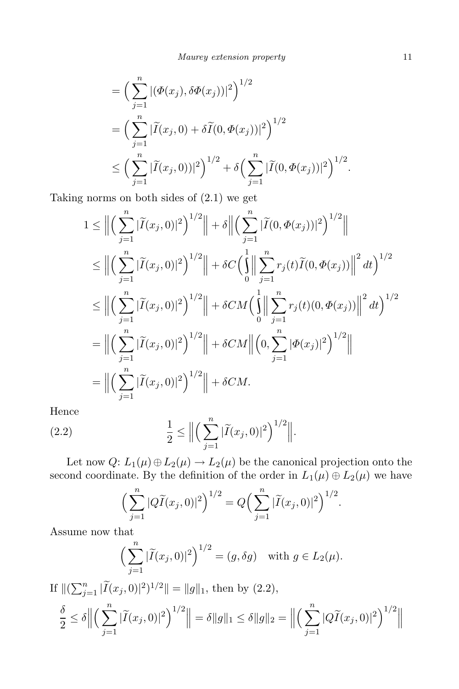$$
= \left(\sum_{j=1}^{n} |(\Phi(x_j), \delta \Phi(x_j))|^2\right)^{1/2}
$$
  
= 
$$
\left(\sum_{j=1}^{n} |\widetilde{I}(x_j, 0) + \delta \widetilde{I}(0, \Phi(x_j))|^2\right)^{1/2}
$$
  

$$
\leq \left(\sum_{j=1}^{n} |\widetilde{I}(x_j, 0)|^2\right)^{1/2} + \delta \left(\sum_{j=1}^{n} |\widetilde{I}(0, \Phi(x_j))|^2\right)^{1/2}.
$$

Taking norms on both sides of (2.1) we get

$$
1 \leq \Big\| \Big( \sum_{j=1}^{n} |\widetilde{I}(x_j, 0)|^2 \Big)^{1/2} \Big\| + \delta \Big\| \Big( \sum_{j=1}^{n} |\widetilde{I}(0, \Phi(x_j))|^2 \Big)^{1/2} \Big\|
$$
  
\n
$$
\leq \Big\| \Big( \sum_{j=1}^{n} |\widetilde{I}(x_j, 0)|^2 \Big)^{1/2} \Big\| + \delta C \Big( \int_{0}^{1} \Big\| \sum_{j=1}^{n} r_j(t) \widetilde{I}(0, \Phi(x_j)) \Big\|^{2} dt \Big)^{1/2}
$$
  
\n
$$
\leq \Big\| \Big( \sum_{j=1}^{n} |\widetilde{I}(x_j, 0)|^2 \Big)^{1/2} \Big\| + \delta C M \Big( \int_{0}^{1} \Big\| \sum_{j=1}^{n} r_j(t) (0, \Phi(x_j)) \Big\|^{2} dt \Big)^{1/2}
$$
  
\n
$$
= \Big\| \Big( \sum_{j=1}^{n} |\widetilde{I}(x_j, 0)|^2 \Big)^{1/2} \Big\| + \delta C M \Big\| \Big( 0, \sum_{j=1}^{n} |\Phi(x_j)|^2 \Big)^{1/2} \Big\|
$$
  
\n
$$
= \Big\| \Big( \sum_{j=1}^{n} |\widetilde{I}(x_j, 0)|^2 \Big)^{1/2} \Big\| + \delta C M.
$$

Hence

(2.2) 
$$
\frac{1}{2} \leq \Big\| \Big( \sum_{j=1}^n |\widetilde{I}(x_j, 0)|^2 \Big)^{1/2} \Big\|.
$$

Let now  $Q: L_1(\mu) \oplus L_2(\mu) \to L_2(\mu)$  be the canonical projection onto the second coordinate. By the definition of the order in  $L_1(\mu) \oplus L_2(\mu)$  we have

$$
\left(\sum_{j=1}^n |\widetilde{QI}(x_j,0)|^2\right)^{1/2} = Q\left(\sum_{j=1}^n |\widetilde{I}(x_j,0)|^2\right)^{1/2}.
$$

Assume now that

$$
\left(\sum_{j=1}^{n} |\widetilde{I}(x_j, 0)|^2\right)^{1/2} = (g, \delta g) \text{ with } g \in L_2(\mu).
$$

If  $\|(\sum_{j=1}^n |\widetilde{I}(x_j,0)|^2)^{1/2}\| = \|g\|_1$ , then by (2.2),

$$
\frac{\delta}{2} \le \delta \left\| \left( \sum_{j=1}^n |\widetilde{I}(x_j, 0)|^2 \right)^{1/2} \right\| = \delta \|g\|_1 \le \delta \|g\|_2 = \left\| \left( \sum_{j=1}^n |Q\widetilde{I}(x_j, 0)|^2 \right)^{1/2} \right\|
$$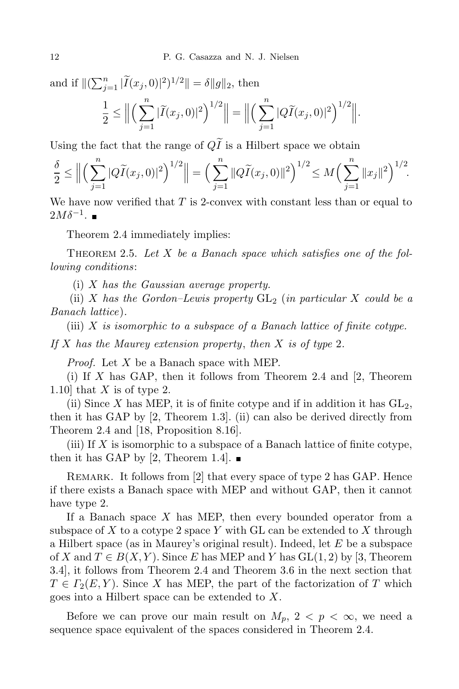and if  $\|(\sum_{j=1}^{n} |\widetilde{I}(x_j, 0)|^2)^{1/2}\| = \delta \|g\|_2$ , then

$$
\frac{1}{2} \leq \Big\| \Big( \sum_{j=1}^n |\widetilde{I}(x_j,0)|^2 \Big)^{1/2} \Big\| = \Big\| \Big( \sum_{j=1}^n |\widetilde{Q} \widetilde{I}(x_j,0)|^2 \Big)^{1/2} \Big\|.
$$

Using the fact that the range of  $Q\tilde{I}$  is a Hilbert space we obtain

$$
\frac{\delta}{2} \leq \Big\| \Big( \sum_{j=1}^n |\widehat{Q}(\widehat{I}(x_j,0)|^2)^{1/2} \Big\| = \Big( \sum_{j=1}^n \|\widehat{Q}(\widehat{I}(x_j,0))\|^2 \Big)^{1/2} \leq M \Big( \sum_{j=1}^n \|x_j\|^2 \Big)^{1/2}.
$$

We have now verified that *T* is 2-convex with constant less than or equal to  $2M\delta^{-1}$ .

Theorem 2.4 immediately implies:

THEOREM 2.5. Let X be a Banach space which satisfies one of the fol*lowing conditions*:

(i) *X has the Gaussian average property.*

(ii) *X* has the Gordon–Lewis property  $GL_2$  (*in particular X* could be a *Banach lattice*)*.*

(iii) *X is isomorphic to a subspace of a Banach lattice of finite cotype.*

*If X has the Maurey extension property*, *then X is of type* 2*.*

*Proof.* Let *X* be a Banach space with MEP.

(i) If *X* has GAP, then it follows from Theorem 2.4 and [2, Theorem 1.10] that *X* is of type 2.

(ii) Since  $X$  has MEP, it is of finite cotype and if in addition it has  $GL_2$ , then it has GAP by [2, Theorem 1.3]. (ii) can also be derived directly from Theorem 2.4 and [18, Proposition 8.16].

(iii) If *X* is isomorphic to a subspace of a Banach lattice of finite cotype, then it has GAP by [2, Theorem 1.4].  $\blacksquare$ 

REMARK. It follows from [2] that every space of type 2 has GAP. Hence if there exists a Banach space with MEP and without GAP, then it cannot have type 2.

If a Banach space *X* has MEP, then every bounded operator from a subspace of *X* to a cotype 2 space *Y* with GL can be extended to *X* through a Hilbert space (as in Maurey's original result). Indeed, let *E* be a subspace of *X* and  $T \in B(X, Y)$ . Since *E* has MEP and *Y* has  $GL(1, 2)$  by [3, Theorem 3.4], it follows from Theorem 2.4 and Theorem 3.6 in the next section that  $T \in \Gamma_2(E, Y)$ . Since *X* has MEP, the part of the factorization of *T* which goes into a Hilbert space can be extended to *X*.

Before we can prove our main result on  $M_p$ ,  $2 < p < \infty$ , we need a sequence space equivalent of the spaces considered in Theorem 2.4.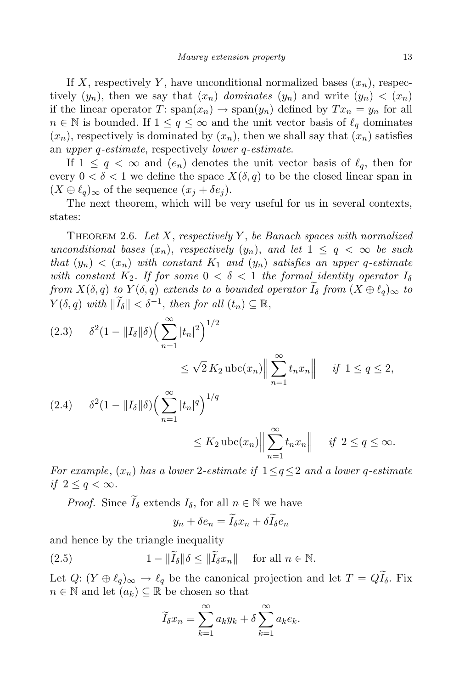If *X*, respectively *Y*, have unconditional normalized bases  $(x_n)$ , respectively  $(y_n)$ , then we say that  $(x_n)$  *dominates*  $(y_n)$  and write  $(y_n) < (x_n)$ if the linear operator *T*:  $\text{span}(x_n) \to \text{span}(y_n)$  defined by  $Tx_n = y_n$  for all *n* ∈ N is bounded. If  $1 \le q \le \infty$  and the unit vector basis of  $\ell_q$  dominates  $(x_n)$ , respectively is dominated by  $(x_n)$ , then we shall say that  $(x_n)$  satisfies an *upper q-estimate*, respectively *lower q-estimate*.

If  $1 \leq q < \infty$  and  $(e_n)$  denotes the unit vector basis of  $\ell_q$ , then for every  $0 < \delta < 1$  we define the space  $X(\delta, q)$  to be the closed linear span in  $(X \oplus \ell_q)_{\infty}$  of the sequence  $(x_i + \delta e_i)$ .

The next theorem, which will be very useful for us in several contexts, states:

Theorem 2.6. *Let X*, *respectively Y* , *be Banach spaces with normalized unconditional bases*  $(x_n)$ , *respectively*  $(y_n)$ , and let  $1 \leq q \leq \infty$  be such *that*  $(y_n) < (x_n)$  *with constant*  $K_1$  *and*  $(y_n)$  *satisfies an upper q-estimate with constant*  $K_2$ *. If for some*  $0 < \delta < 1$  *the formal identity operator*  $I_{\delta}$ from  $X(\delta, q)$  to  $Y(\delta, q)$  extends to a bounded operator  $I_{\delta}$  from  $(X \oplus \ell_q)_{\infty}$  to  $Y(\delta, q)$  *with*  $\|\tilde{I}_{\delta}\| < \delta^{-1}$ , *then for all*  $(t_n) \subseteq \mathbb{R}$ ,

$$
(2.3) \quad \delta^2 (1 - \|I_{\delta}\|\delta) \Big(\sum_{n=1}^{\infty} |t_n|^2\Big)^{1/2}
$$
  
\n
$$
\leq \sqrt{2} K_2 \operatorname{ubc}(x_n) \Big\|\sum_{n=1}^{\infty} t_n x_n \Big\| \quad \text{if } 1 \leq q \leq 2,
$$
  
\n
$$
(2.4) \quad \delta^2 (1 - \|I_{\delta}\|\delta) \Big(\sum_{n=1}^{\infty} |t_n|^q\Big)^{1/q}
$$
  
\n
$$
\leq K_2 \operatorname{ubc}(x_n) \Big\|\sum_{n=1}^{\infty} t_n x_n \Big\| \quad \text{if } 2 \leq q \leq \infty.
$$

*For example*,  $(x_n)$  *has a lower* 2-estimate if  $1 \leq q \leq 2$  *and a lower q*-estimate  $if 2 \leq q < \infty$ .

*Proof.* Since  $I_{\delta}$  extends  $I_{\delta}$ , for all  $n \in \mathbb{N}$  we have

$$
y_n + \delta e_n = \widetilde{I}_{\delta} x_n + \delta \widetilde{I}_{\delta} e_n
$$

and hence by the triangle inequality

(2.5) 
$$
1 - \|\widetilde{I}_{\delta}\| \delta \le \|\widetilde{I}_{\delta} x_n\| \quad \text{for all } n \in \mathbb{N}.
$$

Let  $Q: (Y \oplus \ell_q)_{\infty} \to \ell_q$  be the canonical projection and let  $T = Q\widetilde{I}_{\delta}$ . Fix  $n \in \mathbb{N}$  and let  $(a_k) \subseteq \mathbb{R}$  be chosen so that

$$
\widetilde{I}_{\delta}x_n = \sum_{k=1}^{\infty} a_k y_k + \delta \sum_{k=1}^{\infty} a_k e_k.
$$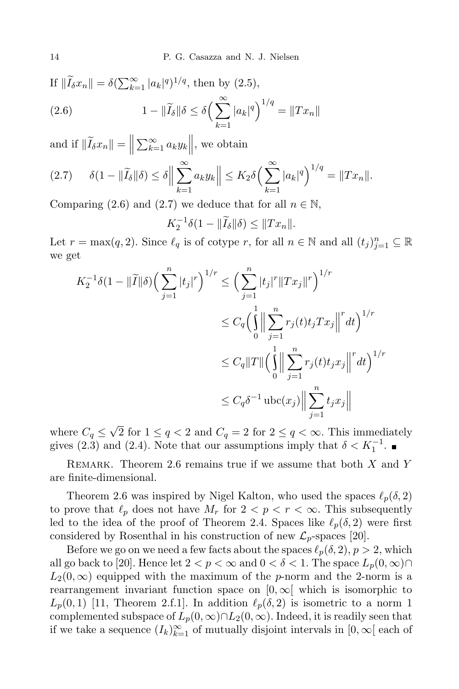If  $\|\tilde{I}_{\delta}x_n\| = \delta(\sum_{k=1}^{\infty} |a_k|^q)^{1/q}$ , then by (2.5),  $1 - \|\tilde{T}_{\delta}\| \delta \le \delta \left( \sum_{k=1}^{\infty} |a_k|^q \right)^{1/q} = \|Tx_n\|$ *k*=1

and if  $\|\widetilde{I}_{\delta}x_n\| = \|\}$  $\sum_{k=1}^{\infty} a_k y_k$ , we obtain

$$
(2.7) \quad \delta(1 - \|\widetilde{I}_{\delta}\|\delta) \le \delta \Big\| \sum_{k=1}^{\infty} a_k y_k \Big\| \le K_2 \delta \Big( \sum_{k=1}^{\infty} |a_k|^q \Big)^{1/q} = \|Tx_n\|.
$$

Comparing (2.6) and (2.7) we deduce that for all  $n \in \mathbb{N}$ ,

$$
K_2^{-1}\delta(1-\|\widetilde{I}_{\delta}\|\delta) \leq \|Tx_n\|.
$$

Let  $r = \max(q, 2)$ . Since  $\ell_q$  is of cotype  $r$ , for all  $n \in \mathbb{N}$  and all  $(t_j)_{j=1}^n \subseteq \mathbb{R}$ we get

$$
K_2^{-1}\delta(1 - \|\tilde{I}\|\delta) \Big(\sum_{j=1}^n |t_j|^r\Big)^{1/r} \le \Big(\sum_{j=1}^n |t_j|^r \|Tx_j\|^r\Big)^{1/r}
$$
  
\n
$$
\le C_q \Big(\int_0^1 \Big\|\sum_{j=1}^n r_j(t)t_j Tx_j\Big\|^r dt\Big)^{1/r}
$$
  
\n
$$
\le C_q \|\tilde{I}\|\Big(\int_0^1 \Big\|\sum_{j=1}^n r_j(t)t_j x_j\Big\|^r dt\Big)^{1/r}
$$
  
\n
$$
\le C_q \delta^{-1} \operatorname{ubc}(x_j) \Big\|\sum_{j=1}^n t_j x_j\Big\|
$$

where  $C_q \leq \sqrt{2}$  for  $1 \leq q < 2$  and  $C_q = 2$  for  $2 \leq q < \infty$ . This immediately gives (2.3) and (2.4). Note that our assumptions imply that  $\delta < K_1^{-1}$ .

Remark. Theorem 2.6 remains true if we assume that both *X* and *Y* are finite-dimensional.

Theorem 2.6 was inspired by Nigel Kalton, who used the spaces  $\ell_p(\delta, 2)$ to prove that  $\ell_p$  does not have  $M_r$  for  $2 < p < r < \infty$ . This subsequently led to the idea of the proof of Theorem 2.4. Spaces like  $\ell_p(\delta, 2)$  were first considered by Rosenthal in his construction of new  $\mathcal{L}_p$ -spaces [20].

Before we go on we need a few facts about the spaces  $\ell_p(\delta, 2), p > 2$ , which all go back to [20]. Hence let  $2 < p < \infty$  and  $0 < \delta < 1$ . The space  $L_p(0, \infty) \cap$  $L_2(0,\infty)$  equipped with the maximum of the *p*-norm and the 2-norm is a rearrangement invariant function space on  $[0, \infty]$  which is isomorphic to  $L_p(0,1)$  [11, Theorem 2.f.1]. In addition  $\ell_p(\delta,2)$  is isometric to a norm 1 complemented subspace of  $L_p(0, \infty) \cap L_2(0, \infty)$ . Indeed, it is readily seen that if we take a sequence  $(I_k)_{k=1}^{\infty}$  of mutually disjoint intervals in  $[0, \infty)$  each of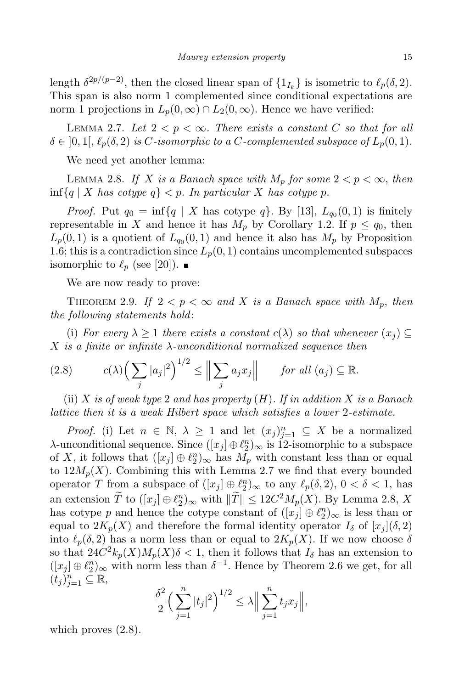length  $\delta^{2p/(p-2)}$ , then the closed linear span of  $\{1_{I_k}\}$  is isometric to  $\ell_p(\delta, 2)$ . This span is also norm 1 complemented since conditional expectations are norm 1 projections in  $L_p(0,\infty) \cap L_2(0,\infty)$ . Hence we have verified:

LEMMA 2.7. Let  $2 < p < \infty$ . There exists a constant C so that for all  $\delta \in [0,1], \ell_p(\delta,2)$  *is C-isomorphic to a C-complemented subspace of*  $L_p(0,1)$ *.* 

We need yet another lemma:

LEMMA 2.8. If *X* is a Banach space with  $M_p$  for some  $2 < p < \infty$ , then  $\inf\{q \mid X \text{ has } cotype \ q\} < p$ . In particular *X* has cotype *p*.

*Proof.* Put  $q_0 = \inf\{q \mid X \text{ has cotype } q\}$ . By [13],  $L_{q_0}(0,1)$  is finitely representable in *X* and hence it has  $M_p$  by Corollary 1.2. If  $p \leq q_0$ , then  $L_p(0,1)$  is a quotient of  $L_{q_0}(0,1)$  and hence it also has  $M_p$  by Proposition 1.6; this is a contradiction since  $L_p(0,1)$  contains uncomplemented subspaces isomorphic to  $\ell_p$  (see [20]).

We are now ready to prove:

THEOREM 2.9. If  $2 < p < \infty$  and X is a Banach space with  $M_p$ , then *the following statements hold*:

(i) *For every*  $\lambda \geq 1$  *there exists a constant*  $c(\lambda)$  *so that whenever*  $(x_i) \subseteq$ *X is a finite or infinite λ-unconditional normalized sequence then*

$$
(2.8) \t c(\lambda) \Big( \sum_j |a_j|^2 \Big)^{1/2} \leq \Big\| \sum_j a_j x_j \Big\| \t for all (a_j) \subseteq \mathbb{R}.
$$

(ii) *X is of weak type* 2 *and has property* (*H*)*. If in addition X is a Banach lattice then it is a weak Hilbert space which satisfies a lower* 2*-estimate.*

*Proof.* (i) Let  $n \in \mathbb{N}, \lambda \geq 1$  and let  $(x_j)_{j=1}^n \subseteq X$  be a normalized *λ*-unconditional sequence. Since  $([x_j] \oplus \ell_2^n)_{\infty}$  is 12-isomorphic to a subspace of *X*, it follows that  $([x_j] \oplus \ell_2^n)_{\infty}$  has  $M_p$  with constant less than or equal to  $12M_p(X)$ . Combining this with Lemma 2.7 we find that every bounded operator *T* from a subspace of  $([x_j] \oplus \ell_2^n)_{\infty}$  to any  $\ell_p(\delta, 2)$ ,  $0 < \delta < 1$ , has an extension  $\widetilde{T}$  to  $([x_j] \oplus \ell_2^n)_{\infty}$  with  $\|\widetilde{T}\| \leq 12C^2 M_p(X)$ . By Lemma 2.8, *X* has cotype *p* and hence the cotype constant of  $([x_j] \oplus \ell_2^n)_{\infty}$  is less than or equal to  $2K_p(X)$  and therefore the formal identity operator  $I_\delta$  of  $[x_i](\delta, 2)$ into  $\ell_p(\delta, 2)$  has a norm less than or equal to  $2K_p(X)$ . If we now choose  $\delta$ so that  $24C^2k_p(X)M_p(X)\delta < 1$ , then it follows that  $I_\delta$  has an extension to  $([x_j] \oplus \ell_2^n)_{\infty}$  with norm less than  $\delta^{-1}$ . Hence by Theorem 2.6 we get, for all  $(t_j)_{j=1}^n \subseteq \mathbb{R},$ 

$$
\frac{\delta^2}{2} \left( \sum_{j=1}^n |t_j|^2 \right)^{1/2} \le \lambda \Big\| \sum_{j=1}^n t_j x_j \Big\|,
$$

which proves (2.8).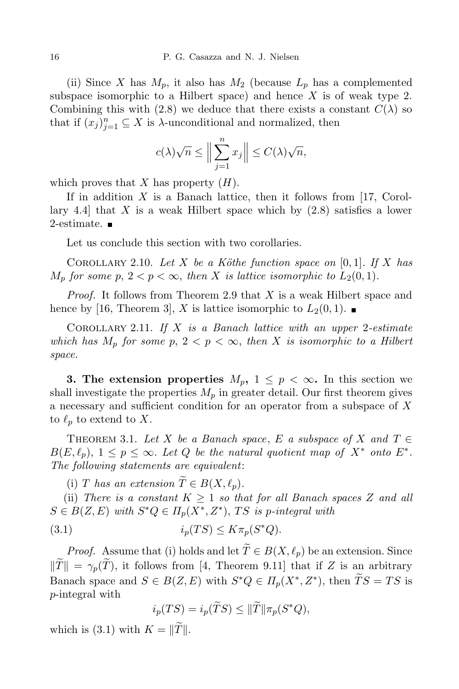(ii) Since X has  $M_p$ , it also has  $M_2$  (because  $L_p$  has a complemented subspace isomorphic to a Hilbert space) and hence  $X$  is of weak type 2. Combining this with (2.8) we deduce that there exists a constant  $C(\lambda)$  so that if  $(x_j)_{j=1}^n \subseteq X$  is  $\lambda$ -unconditional and normalized, then

$$
c(\lambda)\sqrt{n} \le \Big\|\sum_{j=1}^n x_j\Big\| \le C(\lambda)\sqrt{n},
$$

which proves that *X* has property (*H*).

If in addition  $X$  is a Banach lattice, then it follows from [17, Corollary 4.4 that  $X$  is a weak Hilbert space which by  $(2.8)$  satisfies a lower 2-estimate.

Let us conclude this section with two corollaries.

COROLLARY 2.10. Let X be a Köthe function space on  $[0,1]$ . If X has *M*<sub>p</sub> for some  $p, 2 < p < \infty$ , then *X* is lattice isomorphic to  $L_2(0, 1)$ .

*Proof.* It follows from Theorem 2.9 that *X* is a weak Hilbert space and hence by [16, Theorem 3], *X* is lattice isomorphic to  $L_2(0,1)$ .

Corollary 2.11. *If X is a Banach lattice with an upper* 2*-estimate which* has  $M_p$  *for some*  $p, 2 < p < \infty$ , *then X is isomorphic to a Hilbert space.*

**3.** The extension properties  $M_p$ ,  $1 \leq p < \infty$ . In this section we shall investigate the properties  $M_p$  in greater detail. Our first theorem gives a necessary and sufficient condition for an operator from a subspace of *X* to  $\ell_p$  to extend to X.

THEOREM 3.1. Let *X* be a Banach space, *E* a subspace of *X* and  $T \in$  $B(E,\ell_p), 1 \leq p \leq \infty$ . Let Q be the natural quotient map of  $X^*$  onto  $E^*$ . *The following statements are equivalent*:

(i) *T* has an extension  $\widetilde{T} \in B(X, \ell_n)$ .

(ii) *There is* a constant  $K \geq 1$  *so that for all Banach spaces Z and all*  $S \in B(Z, E)$  *with*  $S^*Q \in \Pi_p(X^*, Z^*)$ , *TS is p-integral with* 

(3.1) 
$$
i_p(TS) \leq K \pi_p(S^*Q).
$$

*Proof.* Assume that (i) holds and let  $\widetilde{T} \in B(X, \ell_p)$  be an extension. Since  $\|\widetilde{T}\| = \gamma_p(\widetilde{T})$ , it follows from [4, Theorem 9.11] that if *Z* is an arbitrary Banach space and  $S \in B(Z, E)$  with  $S^*Q \in \Pi_p(X^*, Z^*)$ , then  $TS = TS$  is *p*-integral with

$$
i_p(TS) = i_p(TS) \le ||T|| \pi_p(S^*Q),
$$

which is (3.1) with  $K = ||\widetilde{T}||$ .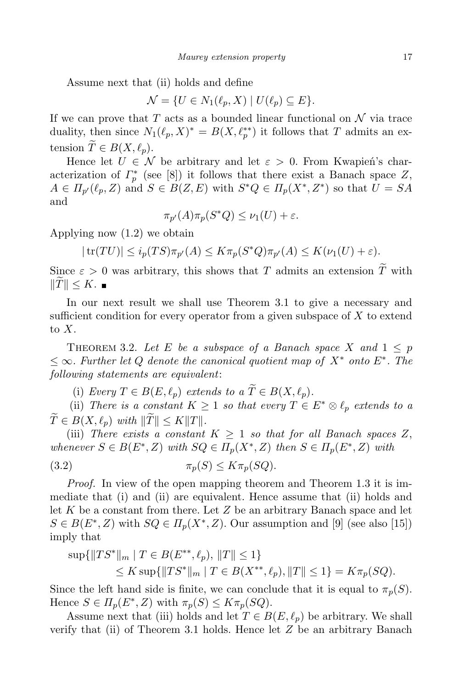Assume next that (ii) holds and define

$$
\mathcal{N} = \{ U \in N_1(\ell_p, X) \mid U(\ell_p) \subseteq E \}.
$$

If we can prove that  $T$  acts as a bounded linear functional on  $N$  via trace duality, then since  $N_1(\ell_p, X)^* = B(X, \ell_p^{**})$  it follows that *T* admits an extension  $\widetilde{T} \in B(X, \ell_n)$ .

Hence let  $U \in \mathcal{N}$  be arbitrary and let  $\varepsilon > 0$ . From Kwapień's characterization of  $\Gamma_p^*$  (see [8]) it follows that there exist a Banach space  $Z$ ,  $A \in \Pi_{p'}(\ell_p, Z)$  and  $S \in B(Z, E)$  with  $S^*Q \in \Pi_p(X^*, Z^*)$  so that  $U = SA$ and

$$
\pi_{p'}(A)\pi_p(S^*Q) \le \nu_1(U) + \varepsilon.
$$

Applying now (1.2) we obtain

$$
|\operatorname{tr}(TU)| \leq i_p(TS)\pi_{p'}(A) \leq K\pi_p(S^*Q)\pi_{p'}(A) \leq K(\nu_1(U) + \varepsilon).
$$

Since  $\varepsilon > 0$  was arbitrary, this shows that *T* admits an extension  $\widetilde{T}$  with  $||T||$  ≤ *K*. ■

In our next result we shall use Theorem 3.1 to give a necessary and sufficient condition for every operator from a given subspace of *X* to extend to *X*.

THEOREM 3.2. Let E be a subspace of a Banach space X and  $1 \leq p$ *≤ ∞. Further let Q denote the canonical quotient map of X<sup>∗</sup> onto E<sup>∗</sup> . The following statements are equivalent*:

(i) *Every*  $T \in B(E, \ell_p)$  *extends to*  $a \widetilde{T} \in B(X, \ell_p)$ *.* 

(ii) *There is a constant*  $K \geq 1$  *so that every*  $T \in E^* \otimes \ell_p$  *extends to a*  $\widetilde{T} \in B(X, \ell_p)$  *with*  $\|\widetilde{T}\| \leq K\|T\|.$ 

(iii) *There exists* a *constant*  $K \geq 1$  *so that for all Banach spaces*  $Z$ , whenever  $S \in B(E^*, Z)$  with  $SQ \in \Pi_p(X^*, Z)$  then  $S \in \Pi_p(E^*, Z)$  with

(3.2) 
$$
\pi_p(S) \leq K \pi_p(SQ).
$$

*Proof.* In view of the open mapping theorem and Theorem 1.3 it is immediate that (i) and (ii) are equivalent. Hence assume that (ii) holds and let *K* be a constant from there. Let *Z* be an arbitrary Banach space and let  $S \in B(E^*, Z)$  with  $SQ \in \Pi_p(X^*, Z)$ . Our assumption and [9] (see also [15]) imply that

$$
\sup\{\|TS^*\|_m \mid T \in B(E^{**}, \ell_p), \|T\| \le 1\}\le K \sup\{\|TS^*\|_m \mid T \in B(X^{**}, \ell_p), \|T\| \le 1\} = K\pi_p(SQ).
$$

Since the left hand side is finite, we can conclude that it is equal to  $\pi_p(S)$ . Hence  $S \in \Pi_p(E^*, Z)$  with  $\pi_p(S) \leq K \pi_p(SQ)$ .

Assume next that (iii) holds and let  $T \in B(E, \ell_p)$  be arbitrary. We shall verify that (ii) of Theorem 3.1 holds. Hence let *Z* be an arbitrary Banach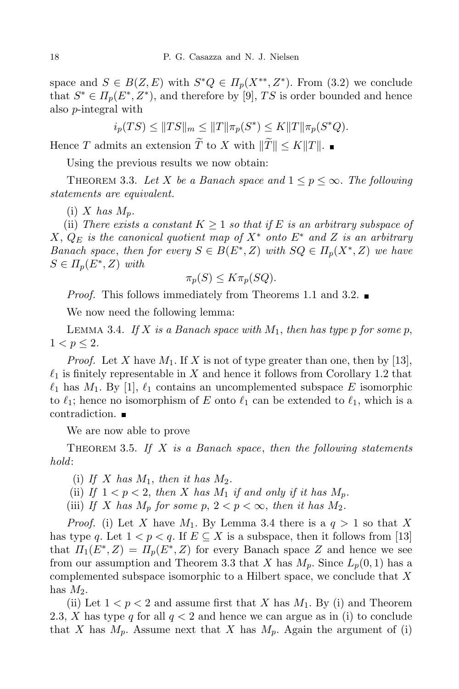space and  $S \in B(Z, E)$  with  $S^*Q \in \Pi_p(X^{**}, Z^*)$ . From (3.2) we conclude that  $S^* \in \Pi_p(E^*, Z^*)$ , and therefore by [9], *TS* is order bounded and hence also *p*-integral with

 $i_p(TS) \leq ||TS||_m \leq ||T||_{\pi_p}(S^*) \leq K||T||_{\pi_p}(S^*Q).$ 

Hence *T* admits an extension  $\widetilde{T}$  to *X* with  $\|\widetilde{T}\| \leq K\|T\|$ .

Using the previous results we now obtain:

THEOREM 3.3. Let *X* be a Banach space and  $1 \leq p \leq \infty$ . The following *statements are equivalent.*

 $(i)$  *X* has  $M_p$ .

(ii) *There exists* a *constant*  $K \geq 1$  *so that if*  $E$  *is* an *arbitrary subspace* of  $X, Q_E$  *is the canonical quotient map of*  $X^*$  *onto*  $E^*$  *and*  $Z$  *is an arbitrary Banach space*, *then for every*  $S \in B(E^*, Z)$  *with*  $SQ \in \Pi_p(X^*, Z)$  *we have*  $S \in \Pi_p(E^*, Z)$  *with* 

$$
\pi_p(S) \leq K \pi_p(SQ).
$$

*Proof.* This follows immediately from Theorems 1.1 and 3.2. ■

We now need the following lemma:

LEMMA 3.4. If X is a Banach space with  $M_1$ , then has type p for some p,  $1 < p \leq 2.$ 

*Proof.* Let *X* have  $M_1$ . If *X* is not of type greater than one, then by [13],  $\ell_1$  is finitely representable in *X* and hence it follows from Corollary 1.2 that  $\ell_1$  has  $M_1$ . By [1],  $\ell_1$  contains an uncomplemented subspace  $E$  isomorphic to  $\ell_1$ ; hence no isomorphism of *E* onto  $\ell_1$  can be extended to  $\ell_1$ , which is a contradiction.

We are now able to prove

Theorem 3.5. *If X is a Banach space*, *then the following statements hold*:

(i) If  $X$  has  $M_1$ , then it has  $M_2$ .

(ii) If  $1 < p < 2$ , then *X* has  $M_1$  *if* and only *if it* has  $M_p$ .

(iii) If *X* has  $M_p$  for some  $p, 2 < p < \infty$ , then it has  $M_2$ .

*Proof.* (i) Let *X* have  $M_1$ . By Lemma 3.4 there is a  $q > 1$  so that X has type q. Let  $1 < p < q$ . If  $E \subseteq X$  is a subspace, then it follows from [13] that  $\Pi_1(E^*, Z) = \Pi_p(E^*, Z)$  for every Banach space Z and hence we see from our assumption and Theorem 3.3 that *X* has  $M_p$ . Since  $L_p(0,1)$  has a complemented subspace isomorphic to a Hilbert space, we conclude that *X* has  $M_2$ .

(ii) Let  $1 < p < 2$  and assume first that *X* has  $M_1$ . By (i) and Theorem 2.3, X has type q for all  $q < 2$  and hence we can argue as in (i) to conclude that *X* has  $M_p$ . Assume next that *X* has  $M_p$ . Again the argument of (i)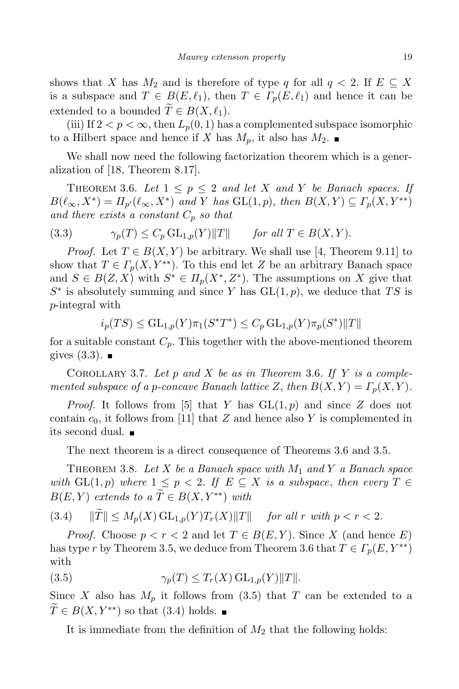shows that *X* has  $M_2$  and is therefore of type *q* for all  $q < 2$ . If  $E \subset X$ is a subspace and  $T \in B(E, \ell_1)$ , then  $T \in \Gamma_p(E, \ell_1)$  and hence it can be extended to a bounded  $\widetilde{T} \in B(X, \ell_1)$ .

(iii) If  $2 < p < \infty$ , then  $L_p(0, 1)$  has a complemented subspace isomorphic to a Hilbert space and hence if *X* has  $M_p$ , it also has  $M_2$ .

We shall now need the following factorization theorem which is a generalization of [18, Theorem 8.17].

THEOREM 3.6. Let  $1 \leq p \leq 2$  and let X and Y be Banach spaces. If  $B(\ell_{\infty}, X^*) = \Pi_{p'}(\ell_{\infty}, X^*)$  and Y has  $\operatorname{GL}(1,p)$ , then  $B(X, Y) \subseteq \Gamma_p(X, Y^{**})$ *and there exists a constant C<sup>p</sup> so that*

(3.3) 
$$
\gamma_p(T) \le C_p \operatorname{GL}_{1,p}(Y) ||T|| \quad \text{for all } T \in B(X,Y).
$$

*Proof.* Let  $T \in B(X, Y)$  be arbitrary. We shall use [4, Theorem 9.11] to show that  $T \in \Gamma_p(X, Y^{**})$ . To this end let *Z* be an arbitrary Banach space and  $S \in B(Z, X)$  with  $S^* \in \Pi_p(X^*, Z^*)$ . The assumptions on X give that  $S^*$  is absolutely summing and since *Y* has  $GL(1,p)$ , we deduce that *TS* is *p*-integral with

$$
i_p(TS) \leq \mathrm{GL}_{1,p}(Y)\pi_1(S^*T^*) \leq C_p \mathrm{GL}_{1,p}(Y)\pi_p(S^*)||T||
$$

for a suitable constant  $C_p$ . This together with the above-mentioned theorem gives  $(3.3)$ . ■

COROLLARY 3.7. Let  $p$  and  $X$  be as in Theorem 3.6. If  $Y$  is a comple*mented subspace of a p-concave Banach lattice Z*, *then*  $B(X, Y) = \Gamma_p(X, Y)$ *.* 

*Proof.* It follows from [5] that *Y* has  $GL(1,p)$  and since *Z* does not contain  $c_0$ , it follows from [11] that  $Z$  and hence also  $Y$  is complemented in its second dual.

The next theorem is a direct consequence of Theorems 3.6 and 3.5.

THEOREM 3.8. Let  $X$  be a Banach space with  $M_1$  and  $Y$  a Banach space *with*  $GL(1,p)$  *where*  $1 \leq p < 2$ *. If*  $E \subseteq X$  *is a subspace*, *then every*  $T \in$  $B(E, Y)$  *extends to*  $aT \in B(X, Y^{**})$  *with* 

$$
(3.4) \quad \|\widetilde{T}\| \le M_p(X) \operatorname{GL}_{1,p}(Y)T_r(X)\|T\| \quad \text{for all } r \text{ with } p < r < 2.
$$

*Proof.* Choose  $p < r < 2$  and let  $T \in B(E, Y)$ . Since *X* (and hence *E*) has type *r* by Theorem 3.5, we deduce from Theorem 3.6 that  $T \in \Gamma_p(E, Y^{**})$ with

(3.5) 
$$
\gamma_p(T) \leq T_r(X) \operatorname{GL}_{1,p}(Y) ||T||.
$$

Since *X* also has  $M_p$  it follows from (3.5) that *T* can be extended to a  $T \in B(X, Y^{**})$  so that (3.4) holds.

It is immediate from the definition of *M*<sup>2</sup> that the following holds: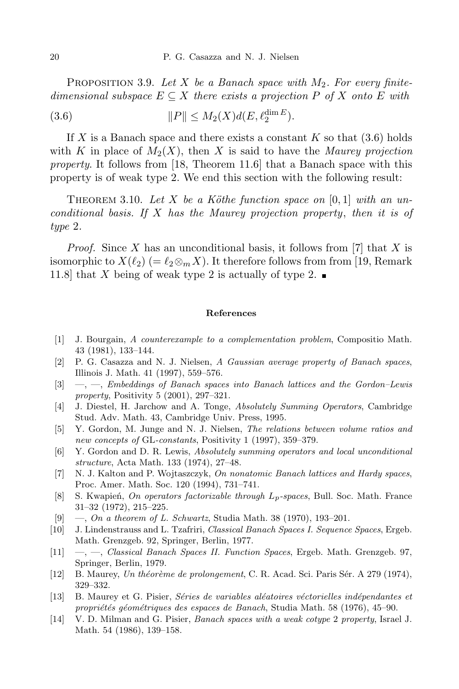PROPOSITION 3.9. Let X be a Banach space with  $M_2$ . For every finite*dimensional subspace*  $E \subseteq X$  *there exists* a *projection*  $P$  *of*  $X$  *onto*  $E$  *with* 

(3.6) 
$$
||P|| \le M_2(X)d(E,\ell_2^{\dim E}).
$$

If *X* is a Banach space and there exists a constant *K* so that (3.6) holds with *K* in place of  $M_2(X)$ , then *X* is said to have the *Maurey projection property*. It follows from [18, Theorem 11.6] that a Banach space with this property is of weak type 2. We end this section with the following result:

THEOREM 3.10. Let X be a Köthe function space on  $[0,1]$  with an un*conditional basis. If X has the Maurey projection property*, *then it is of type* 2*.*

*Proof.* Since *X* has an unconditional basis, it follows from [7] that *X* is isomorphic to  $X(\ell_2)$  (=  $\ell_2 \otimes_m X$ ). It therefore follows from from [19, Remark] 11.8] that *X* being of weak type 2 is actually of type 2.

## **References**

- [1] J. Bourgain, *A counterexample to a complementation problem*, Compositio Math. 43 (1981), 133–144.
- [2] P. G. Casazza and N. J. Nielsen, *A Gaussian average property of Banach spaces*, Illinois J. Math. 41 (1997), 559–576.
- [3] —, —, *Embeddings of Banach spaces into Banach lattices and the Gordon–Lewis property*, Positivity 5 (2001), 297–321.
- [4] J. Diestel, H. Jarchow and A. Tonge, *Absolutely Summing Operators*, Cambridge Stud. Adv. Math. 43, Cambridge Univ. Press, 1995.
- [5] Y. Gordon, M. Junge and N. J. Nielsen, *The relations between volume ratios and new concepts of* GL*-constants*, Positivity 1 (1997), 359–379.
- [6] Y. Gordon and D. R. Lewis, *Absolutely summing operators and local unconditional structure*, Acta Math. 133 (1974), 27–48.
- [7] N. J. Kalton and P. Wojtaszczyk, *On nonatomic Banach lattices and Hardy spaces*, Proc. Amer. Math. Soc. 120 (1994), 731–741.
- [8] S. Kwapień, *On operators factorizable through Lp-spaces*, Bull. Soc. Math. France 31–32 (1972), 215–225.
- [9] —, *On a theorem of L. Schwartz*, Studia Math. 38 (1970), 193–201.
- [10] J. Lindenstrauss and L. Tzafriri, *Classical Banach Spaces I. Sequence Spaces*, Ergeb. Math. Grenzgeb. 92, Springer, Berlin, 1977.
- [11] —, —, *Classical Banach Spaces II. Function Spaces*, Ergeb. Math. Grenzgeb. 97, Springer, Berlin, 1979.
- [12] B. Maurey, *Un th´eor`eme de prolongement*, C. R. Acad. Sci. Paris S´er. A 279 (1974), 329–332.
- [13] B. Maurey et G. Pisier, *S´eries de variables al´eatoires v´ectorielles ind´ependantes et propri´et´es g´eom´etriques des espaces de Banach*, Studia Math. 58 (1976), 45–90.
- [14] V. D. Milman and G. Pisier, *Banach spaces with a weak cotype* 2 *property*, Israel J. Math. 54 (1986), 139–158.